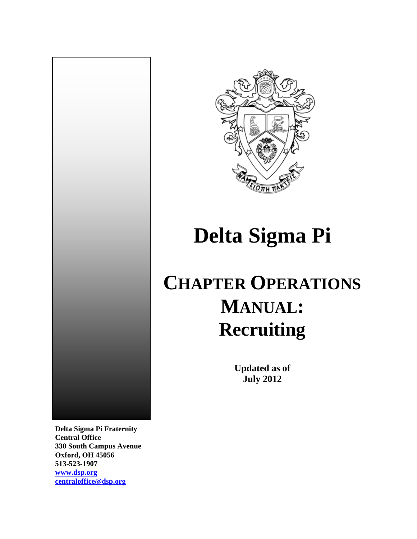

# **Delta Sigma Pi**

## **CHAPTER OPERATIONS MANUAL: Recruiting**

**Updated as of July 2012**

**Delta Sigma Pi Fraternity Central Office 330 South Campus Avenue Oxford, OH 45056 513-523-1907**

**[www.dsp.org](http://www.dsp.org/) [centraloffice@dsp.org](mailto:centraloffice@dsp.org)**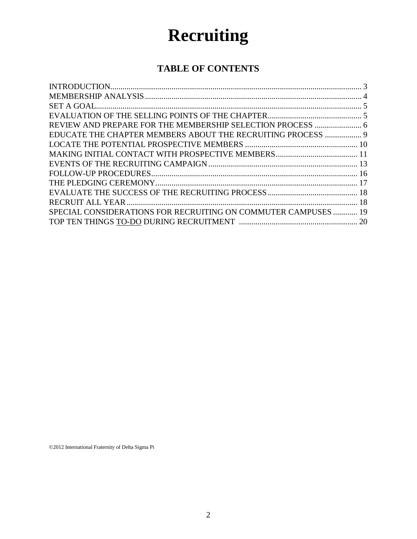## **Recruiting**

## **TABLE OF CONTENTS**

| REVIEW AND PREPARE FOR THE MEMBERSHIP SELECTION PROCESS  6     |  |
|----------------------------------------------------------------|--|
| EDUCATE THE CHAPTER MEMBERS ABOUT THE RECRUITING PROCESS  9    |  |
|                                                                |  |
|                                                                |  |
|                                                                |  |
|                                                                |  |
|                                                                |  |
|                                                                |  |
|                                                                |  |
| SPECIAL CONSIDERATIONS FOR RECRUITING ON COMMUTER CAMPUSES  19 |  |
|                                                                |  |

©2012 International Fraternity of Delta Sigma Pi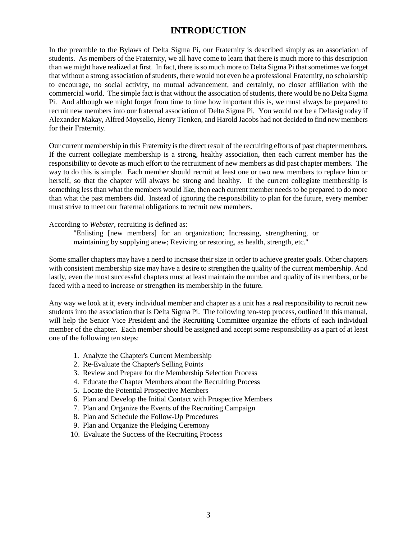## **INTRODUCTION**

In the preamble to the Bylaws of Delta Sigma Pi, our Fraternity is described simply as an association of students. As members of the Fraternity, we all have come to learn that there is much more to this description than we might have realized at first. In fact, there is so much more to Delta Sigma Pi that sometimes we forget that without a strong association of students, there would not even be a professional Fraternity, no scholarship to encourage, no social activity, no mutual advancement, and certainly, no closer affiliation with the commercial world. The simple fact is that without the association of students, there would be no Delta Sigma Pi. And although we might forget from time to time how important this is, we must always be prepared to recruit new members into our fraternal association of Delta Sigma Pi. You would not be a Deltasig today if Alexander Makay, Alfred Moysello, Henry Tienken, and Harold Jacobs had not decided to find new members for their Fraternity.

Our current membership in this Fraternity is the direct result of the recruiting efforts of past chapter members. If the current collegiate membership is a strong, healthy association, then each current member has the responsibility to devote as much effort to the recruitment of new members as did past chapter members. The way to do this is simple. Each member should recruit at least one or two new members to replace him or herself, so that the chapter will always be strong and healthy. If the current collegiate membership is something less than what the members would like, then each current member needs to be prepared to do more than what the past members did. Instead of ignoring the responsibility to plan for the future, every member must strive to meet our fraternal obligations to recruit new members.

#### According to *Webster*, recruiting is defined as:

"Enlisting [new members] for an organization; Increasing, strengthening, or maintaining by supplying anew; Reviving or restoring, as health, strength, etc."

Some smaller chapters may have a need to increase their size in order to achieve greater goals. Other chapters with consistent membership size may have a desire to strengthen the quality of the current membership. And lastly, even the most successful chapters must at least maintain the number and quality of its members, or be faced with a need to increase or strengthen its membership in the future.

Any way we look at it, every individual member and chapter as a unit has a real responsibility to recruit new students into the association that is Delta Sigma Pi. The following ten-step process, outlined in this manual, will help the Senior Vice President and the Recruiting Committee organize the efforts of each individual member of the chapter. Each member should be assigned and accept some responsibility as a part of at least one of the following ten steps:

- 1. Analyze the Chapter's Current Membership
- 2. Re-Evaluate the Chapter's Selling Points
- 3. Review and Prepare for the Membership Selection Process
- 4. Educate the Chapter Members about the Recruiting Process
- 5. Locate the Potential Prospective Members
- 6. Plan and Develop the Initial Contact with Prospective Members
- 7. Plan and Organize the Events of the Recruiting Campaign
- 8. Plan and Schedule the Follow-Up Procedures
- 9. Plan and Organize the Pledging Ceremony
- 10. Evaluate the Success of the Recruiting Process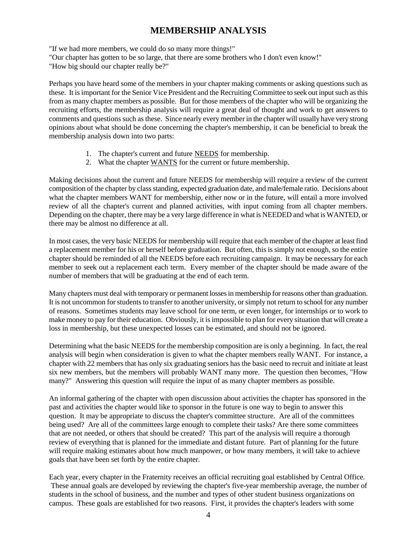## **MEMBERSHIP ANALYSIS**

"If we had more members, we could do so many more things!"

"Our chapter has gotten to be so large, that there are some brothers who I don't even know!"

"How big should our chapter really be?"

Perhaps you have heard some of the members in your chapter making comments or asking questions such as these. It is important for the Senior Vice President and the Recruiting Committee to seek out input such as this from as many chapter members as possible. But for those members of the chapter who will be organizing the recruiting efforts, the membership analysis will require a great deal of thought and work to get answers to comments and questions such as these. Since nearly every member in the chapter will usually have very strong opinions about what should be done concerning the chapter's membership, it can be beneficial to break the membership analysis down into two parts:

- 1. The chapter's current and future NEEDS for membership.
- 2. What the chapter WANTS for the current or future membership.

Making decisions about the current and future NEEDS for membership will require a review of the current composition of the chapter by class standing, expected graduation date, and male/female ratio. Decisions about what the chapter members WANT for membership, either now or in the future, will entail a more involved review of all the chapter's current and planned activities, with input coming from all chapter members. Depending on the chapter, there may be a very large difference in what is NEEDED and what is WANTED, or there may be almost no difference at all.

In most cases, the very basic NEEDS for membership will require that each member of the chapter at least find a replacement member for his or herself before graduation. But often, this is simply not enough, so the entire chapter should be reminded of all the NEEDS before each recruiting campaign. It may be necessary for each member to seek out a replacement each term. Every member of the chapter should be made aware of the number of members that will be graduating at the end of each term.

Many chapters must deal with temporary or permanent losses in membership for reasons other than graduation. It is not uncommon for students to transfer to another university, or simply not return to school for any number of reasons. Sometimes students may leave school for one term, or even longer, for internships or to work to make money to pay for their education. Obviously, it is impossible to plan for every situation that will create a loss in membership, but these unexpected losses can be estimated, and should not be ignored.

Determining what the basic NEEDS for the membership composition are is only a beginning. In fact, the real analysis will begin when consideration is given to what the chapter members really WANT. For instance, a chapter with 22 members that has only six graduating seniors has the basic need to recruit and initiate at least six new members, but the members will probably WANT many more. The question then becomes, "How many?" Answering this question will require the input of as many chapter members as possible.

An informal gathering of the chapter with open discussion about activities the chapter has sponsored in the past and activities the chapter would like to sponsor in the future is one way to begin to answer this question. It may be appropriate to discuss the chapter's committee structure. Are all of the committees being used? Are all of the committees large enough to complete their tasks? Are there some committees that are not needed, or others that should be created? This part of the analysis will require a thorough review of everything that is planned for the immediate and distant future. Part of planning for the future will require making estimates about how much manpower, or how many members, it will take to achieve goals that have been set forth by the entire chapter.

Each year, every chapter in the Fraternity receives an official recruiting goal established by Central Office. These annual goals are developed by reviewing the chapter's five-year membership average, the number of students in the school of business, and the number and types of other student business organizations on campus. These goals are established for two reasons. First, it provides the chapter's leaders with some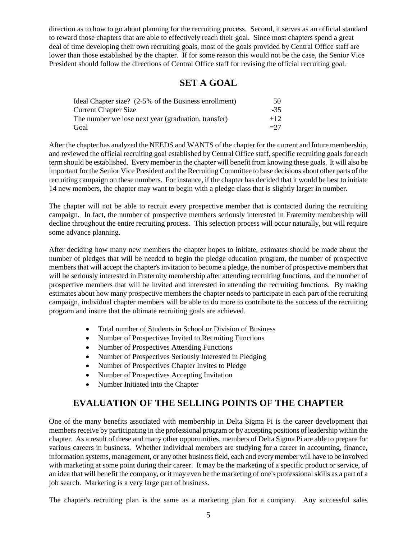direction as to how to go about planning for the recruiting process. Second, it serves as an official standard to reward those chapters that are able to effectively reach their goal. Since most chapters spend a great deal of time developing their own recruiting goals, most of the goals provided by Central Office staff are lower than those established by the chapter. If for some reason this would not be the case, the Senior Vice President should follow the directions of Central Office staff for revising the official recruiting goal.

### **SET A GOAL**

| Ideal Chapter size? (2-5% of the Business enrollment) | 50          |
|-------------------------------------------------------|-------------|
| Current Chapter Size                                  | -35         |
| The number we lose next year (graduation, transfer)   | $+12$       |
| Goal                                                  | $\equiv$ 27 |

After the chapter has analyzed the NEEDS and WANTS of the chapter for the current and future membership, and reviewed the official recruiting goal established by Central Office staff, specific recruiting goals for each term should be established. Every member in the chapter will benefit from knowing these goals. It will also be important for the Senior Vice President and the Recruiting Committee to base decisions about other parts of the recruiting campaign on these numbers. For instance, if the chapter has decided that it would be best to initiate 14 new members, the chapter may want to begin with a pledge class that is slightly larger in number.

The chapter will not be able to recruit every prospective member that is contacted during the recruiting campaign. In fact, the number of prospective members seriously interested in Fraternity membership will decline throughout the entire recruiting process. This selection process will occur naturally, but will require some advance planning.

After deciding how many new members the chapter hopes to initiate, estimates should be made about the number of pledges that will be needed to begin the pledge education program, the number of prospective members that will accept the chapter's invitation to become a pledge, the number of prospective members that will be seriously interested in Fraternity membership after attending recruiting functions, and the number of prospective members that will be invited and interested in attending the recruiting functions. By making estimates about how many prospective members the chapter needs to participate in each part of the recruiting campaign, individual chapter members will be able to do more to contribute to the success of the recruiting program and insure that the ultimate recruiting goals are achieved.

- Total number of Students in School or Division of Business
- Number of Prospectives Invited to Recruiting Functions
- Number of Prospectives Attending Functions
- Number of Prospectives Seriously Interested in Pledging
- Number of Prospectives Chapter Invites to Pledge
- Number of Prospectives Accepting Invitation
- Number Initiated into the Chapter

## **EVALUATION OF THE SELLING POINTS OF THE CHAPTER**

One of the many benefits associated with membership in Delta Sigma Pi is the career development that members receive by participating in the professional program or by accepting positions of leadership within the chapter. As a result of these and many other opportunities, members of Delta Sigma Pi are able to prepare for various careers in business. Whether individual members are studying for a career in accounting, finance, information systems, management, or any other business field, each and every member will have to be involved with marketing at some point during their career. It may be the marketing of a specific product or service, of an idea that will benefit the company, or it may even be the marketing of one's professional skills as a part of a job search. Marketing is a very large part of business.

The chapter's recruiting plan is the same as a marketing plan for a company. Any successful sales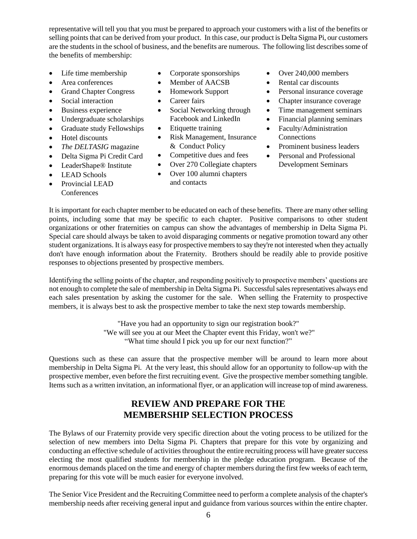representative will tell you that you must be prepared to approach your customers with a list of the benefits or selling points that can be derived from your product. In this case, our product is Delta Sigma Pi, our customers are the students in the school of business, and the benefits are numerous. The following list describes some of the benefits of membership:

- Life time membership
- Area conferences
- Grand Chapter Congress
- Social interaction
- Business experience
- Undergraduate scholarships
- Graduate study Fellowships
- Hotel discounts
- *The DELTASIG* magazine
- Delta Sigma Pi Credit Card
- LeaderShape® Institute
- LEAD Schools
- Provincial LEAD **Conferences**
- Corporate sponsorships
- Member of AACSB
- Homework Support
- Career fairs
- Social Networking through Facebook and LinkedIn
- Etiquette training
- Risk Management, Insurance & Conduct Policy
- Competitive dues and fees
- Over 270 Collegiate chapters
- Over 100 alumni chapters
- and contacts
- Over 240,000 members
- Rental car discounts
- Personal insurance coverage
- Chapter insurance coverage
- Time management seminars
- Financial planning seminars
- Faculty/Administration **Connections**
- Prominent business leaders
- Personal and Professional Development Seminars

It is important for each chapter member to be educated on each of these benefits. There are many other selling points, including some that may be specific to each chapter. Positive comparisons to other student organizations or other fraternities on campus can show the advantages of membership in Delta Sigma Pi. Special care should always be taken to avoid disparaging comments or negative promotion toward any other student organizations. It is always easy for prospective members to say they're not interested when they actually don't have enough information about the Fraternity. Brothers should be readily able to provide positive responses to objections presented by prospective members.

Identifying the selling points of the chapter, and responding positively to prospective members' questions are not enough to complete the sale of membership in Delta Sigma Pi. Successful sales representatives always end each sales presentation by asking the customer for the sale. When selling the Fraternity to prospective members, it is always best to ask the prospective member to take the next step towards membership.

> "Have you had an opportunity to sign our registration book?" "We will see you at our Meet the Chapter event this Friday, won't we?" "What time should I pick you up for our next function?"

Questions such as these can assure that the prospective member will be around to learn more about membership in Delta Sigma Pi. At the very least, this should allow for an opportunity to follow-up with the prospective member, even before the first recruiting event. Give the prospective member something tangible. Items such as a written invitation, an informational flyer, or an application will increase top of mind awareness.

## **REVIEW AND PREPARE FOR THE MEMBERSHIP SELECTION PROCESS**

The Bylaws of our Fraternity provide very specific direction about the voting process to be utilized for the selection of new members into Delta Sigma Pi. Chapters that prepare for this vote by organizing and conducting an effective schedule of activities throughout the entire recruiting process will have greater success electing the most qualified students for membership in the pledge education program. Because of the enormous demands placed on the time and energy of chapter members during the first few weeks of each term, preparing for this vote will be much easier for everyone involved.

The Senior Vice President and the Recruiting Committee need to perform a complete analysis of the chapter's membership needs after receiving general input and guidance from various sources within the entire chapter.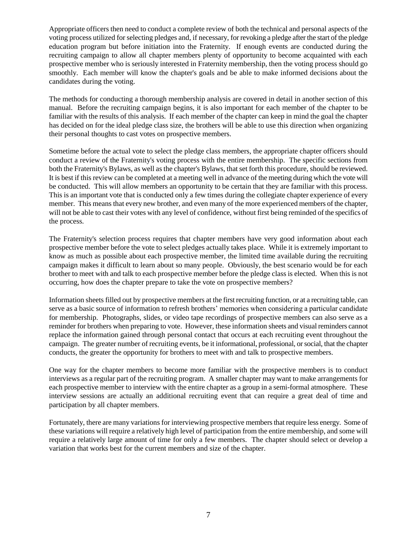Appropriate officers then need to conduct a complete review of both the technical and personal aspects of the voting process utilized for selecting pledges and, if necessary, for revoking a pledge after the start of the pledge education program but before initiation into the Fraternity. If enough events are conducted during the recruiting campaign to allow all chapter members plenty of opportunity to become acquainted with each prospective member who is seriously interested in Fraternity membership, then the voting process should go smoothly. Each member will know the chapter's goals and be able to make informed decisions about the candidates during the voting.

The methods for conducting a thorough membership analysis are covered in detail in another section of this manual. Before the recruiting campaign begins, it is also important for each member of the chapter to be familiar with the results of this analysis. If each member of the chapter can keep in mind the goal the chapter has decided on for the ideal pledge class size, the brothers will be able to use this direction when organizing their personal thoughts to cast votes on prospective members.

Sometime before the actual vote to select the pledge class members, the appropriate chapter officers should conduct a review of the Fraternity's voting process with the entire membership. The specific sections from both the Fraternity's Bylaws, as well as the chapter's Bylaws, that set forth this procedure, should be reviewed. It is best if this review can be completed at a meeting well in advance of the meeting during which the vote will be conducted. This will allow members an opportunity to be certain that they are familiar with this process. This is an important vote that is conducted only a few times during the collegiate chapter experience of every member. This means that every new brother, and even many of the more experienced members of the chapter, will not be able to cast their votes with any level of confidence, without first being reminded of the specifics of the process.

The Fraternity's selection process requires that chapter members have very good information about each prospective member before the vote to select pledges actually takes place. While it is extremely important to know as much as possible about each prospective member, the limited time available during the recruiting campaign makes it difficult to learn about so many people. Obviously, the best scenario would be for each brother to meet with and talk to each prospective member before the pledge class is elected. When this is not occurring, how does the chapter prepare to take the vote on prospective members?

Information sheets filled out by prospective members at the first recruiting function, or at a recruiting table, can serve as a basic source of information to refresh brothers' memories when considering a particular candidate for membership. Photographs, slides, or video tape recordings of prospective members can also serve as a reminder for brothers when preparing to vote. However, these information sheets and visual reminders cannot replace the information gained through personal contact that occurs at each recruiting event throughout the campaign. The greater number of recruiting events, be it informational, professional, or social, that the chapter conducts, the greater the opportunity for brothers to meet with and talk to prospective members.

One way for the chapter members to become more familiar with the prospective members is to conduct interviews as a regular part of the recruiting program. A smaller chapter may want to make arrangements for each prospective member to interview with the entire chapter as a group in a semi-formal atmosphere. These interview sessions are actually an additional recruiting event that can require a great deal of time and participation by all chapter members.

Fortunately, there are many variations for interviewing prospective members that require less energy. Some of these variations will require a relatively high level of participation from the entire membership, and some will require a relatively large amount of time for only a few members. The chapter should select or develop a variation that works best for the current members and size of the chapter.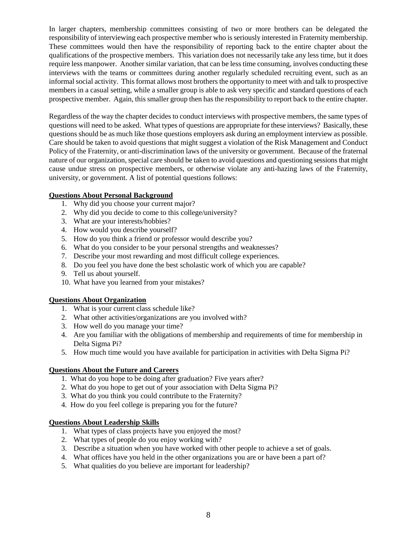In larger chapters, membership committees consisting of two or more brothers can be delegated the responsibility of interviewing each prospective member who is seriously interested in Fraternity membership. These committees would then have the responsibility of reporting back to the entire chapter about the qualifications of the prospective members. This variation does not necessarily take any less time, but it does require less manpower. Another similar variation, that can be less time consuming, involves conducting these interviews with the teams or committees during another regularly scheduled recruiting event, such as an informal social activity. This format allows most brothers the opportunity to meet with and talk to prospective members in a casual setting, while a smaller group is able to ask very specific and standard questions of each prospective member. Again, this smaller group then has the responsibility to report back to the entire chapter.

Regardless of the way the chapter decides to conduct interviews with prospective members, the same types of questions will need to be asked. What types of questions are appropriate for these interviews? Basically, these questions should be as much like those questions employers ask during an employment interview as possible. Care should be taken to avoid questions that might suggest a violation of the Risk Management and Conduct Policy of the Fraternity, or anti-discrimination laws of the university or government. Because of the fraternal nature of our organization, special care should be taken to avoid questions and questioning sessions that might cause undue stress on prospective members, or otherwise violate any anti-hazing laws of the Fraternity, university, or government. A list of potential questions follows:

#### **Questions About Personal Background**

- 1. Why did you choose your current major?
- 2. Why did you decide to come to this college/university?
- 3. What are your interests/hobbies?
- 4. How would you describe yourself?
- 5. How do you think a friend or professor would describe you?
- 6. What do you consider to be your personal strengths and weaknesses?
- 7. Describe your most rewarding and most difficult college experiences.
- 8. Do you feel you have done the best scholastic work of which you are capable?
- 9. Tell us about yourself.
- 10. What have you learned from your mistakes?

#### **Questions About Organization**

- 1. What is your current class schedule like?
- 2. What other activities/organizations are you involved with?
- 3. How well do you manage your time?
- 4. Are you familiar with the obligations of membership and requirements of time for membership in Delta Sigma Pi?
- 5. How much time would you have available for participation in activities with Delta Sigma Pi?

#### **Questions About the Future and Careers**

- 1. What do you hope to be doing after graduation? Five years after?
- 2. What do you hope to get out of your association with Delta Sigma Pi?
- 3. What do you think you could contribute to the Fraternity?
- 4. How do you feel college is preparing you for the future?

#### **Questions About Leadership Skills**

- 1. What types of class projects have you enjoyed the most?
- 2. What types of people do you enjoy working with?
- 3. Describe a situation when you have worked with other people to achieve a set of goals.
- 4. What offices have you held in the other organizations you are or have been a part of?
- 5. What qualities do you believe are important for leadership?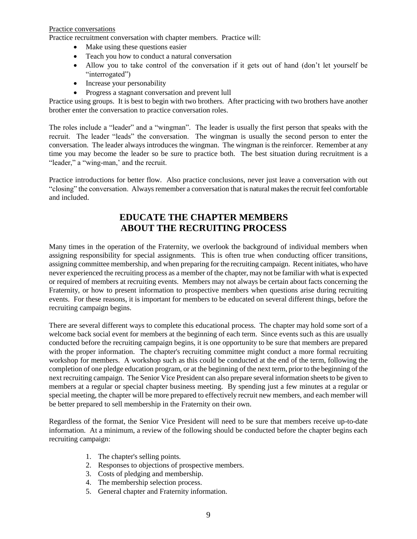#### Practice conversations

Practice recruitment conversation with chapter members. Practice will:

- Make using these questions easier
- Teach you how to conduct a natural conversation
- Allow you to take control of the conversation if it gets out of hand (don't let yourself be "interrogated")
- Increase your personability
- Progress a stagnant conversation and prevent lull

Practice using groups. It is best to begin with two brothers. After practicing with two brothers have another brother enter the conversation to practice conversation roles.

The roles include a "leader" and a "wingman". The leader is usually the first person that speaks with the recruit. The leader "leads" the conversation. The wingman is usually the second person to enter the conversation. The leader always introduces the wingman. The wingman is the reinforcer. Remember at any time you may become the leader so be sure to practice both. The best situation during recruitment is a "leader," a "wing-man,' and the recruit.

Practice introductions for better flow. Also practice conclusions, never just leave a conversation with out "closing" the conversation. Always remember a conversation that is natural makes the recruit feel comfortable and included.

## **EDUCATE THE CHAPTER MEMBERS ABOUT THE RECRUITING PROCESS**

Many times in the operation of the Fraternity, we overlook the background of individual members when assigning responsibility for special assignments. This is often true when conducting officer transitions, assigning committee membership, and when preparing for the recruiting campaign. Recent initiates, who have never experienced the recruiting process as a member of the chapter, may not be familiar with what is expected or required of members at recruiting events. Members may not always be certain about facts concerning the Fraternity, or how to present information to prospective members when questions arise during recruiting events. For these reasons, it is important for members to be educated on several different things, before the recruiting campaign begins.

There are several different ways to complete this educational process. The chapter may hold some sort of a welcome back social event for members at the beginning of each term. Since events such as this are usually conducted before the recruiting campaign begins, it is one opportunity to be sure that members are prepared with the proper information. The chapter's recruiting committee might conduct a more formal recruiting workshop for members. A workshop such as this could be conducted at the end of the term, following the completion of one pledge education program, or at the beginning of the next term, prior to the beginning of the next recruiting campaign. The Senior Vice President can also prepare several information sheets to be given to members at a regular or special chapter business meeting. By spending just a few minutes at a regular or special meeting, the chapter will be more prepared to effectively recruit new members, and each member will be better prepared to sell membership in the Fraternity on their own.

Regardless of the format, the Senior Vice President will need to be sure that members receive up-to-date information. At a minimum, a review of the following should be conducted before the chapter begins each recruiting campaign:

- 1. The chapter's selling points.
- 2. Responses to objections of prospective members.
- 3. Costs of pledging and membership.
- 4. The membership selection process.
- 5. General chapter and Fraternity information.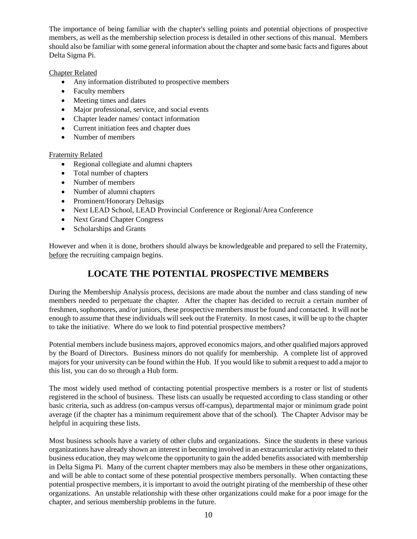The importance of being familiar with the chapter's selling points and potential objections of prospective members, as well as the membership selection process is detailed in other sections of this manual. Members should also be familiar with some general information about the chapter and some basic facts and figures about Delta Sigma Pi.

#### Chapter Related

- Any information distributed to prospective members
- Faculty members
- Meeting times and dates
- Major professional, service, and social events
- Chapter leader names/ contact information
- Current initiation fees and chapter dues
- Number of members

#### Fraternity Related

- Regional collegiate and alumni chapters
- Total number of chapters
- Number of members
- Number of alumni chapters
- Prominent/Honorary Deltasigs
- Next LEAD School, LEAD Provincial Conference or Regional/Area Conference
- Next Grand Chapter Congress
- Scholarships and Grants

However and when it is done, brothers should always be knowledgeable and prepared to sell the Fraternity, before the recruiting campaign begins.

## **LOCATE THE POTENTIAL PROSPECTIVE MEMBERS**

During the Membership Analysis process, decisions are made about the number and class standing of new members needed to perpetuate the chapter. After the chapter has decided to recruit a certain number of freshmen, sophomores, and/or juniors, these prospective members must be found and contacted. It will not be enough to assume that these individuals will seek out the Fraternity. In most cases, it will be up to the chapter to take the initiative. Where do we look to find potential prospective members?

Potential members include business majors, approved economics majors, and other qualified majors approved by the Board of Directors. Business minors do not qualify for membership. A complete list of approved majors for your university can be found within the Hub. If you would like to submit a request to add a major to this list, you can do so through a Hub form.

The most widely used method of contacting potential prospective members is a roster or list of students registered in the school of business. These lists can usually be requested according to class standing or other basic criteria, such as address (on-campus versus off-campus), departmental major or minimum grade point average (if the chapter has a minimum requirement above that of the school). The Chapter Advisor may be helpful in acquiring these lists.

Most business schools have a variety of other clubs and organizations. Since the students in these various organizations have already shown an interest in becoming involved in an extracurricular activity related to their business education, they may welcome the opportunity to gain the added benefits associated with membership in Delta Sigma Pi. Many of the current chapter members may also be members in these other organizations, and will be able to contact some of these potential prospective members personally. When contacting these potential prospective members, it is important to avoid the outright pirating of the membership of these other organizations. An unstable relationship with these other organizations could make for a poor image for the chapter, and serious membership problems in the future.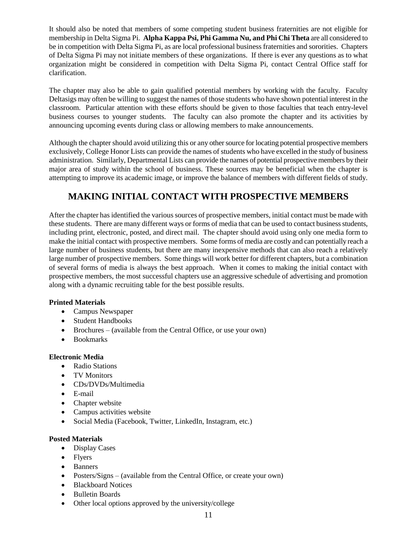It should also be noted that members of some competing student business fraternities are not eligible for membership in Delta Sigma Pi. **Alpha Kappa Psi, Phi Gamma Nu, and Phi Chi Theta** are all considered to be in competition with Delta Sigma Pi, as are local professional business fraternities and sororities. Chapters of Delta Sigma Pi may not initiate members of these organizations. If there is ever any questions as to what organization might be considered in competition with Delta Sigma Pi, contact Central Office staff for clarification.

The chapter may also be able to gain qualified potential members by working with the faculty. Faculty Deltasigs may often be willing to suggest the names of those students who have shown potential interest in the classroom. Particular attention with these efforts should be given to those faculties that teach entry-level business courses to younger students. The faculty can also promote the chapter and its activities by announcing upcoming events during class or allowing members to make announcements.

Although the chapter should avoid utilizing this or any other source for locating potential prospective members exclusively, College Honor Lists can provide the names of students who have excelled in the study of business administration. Similarly, Departmental Lists can provide the names of potential prospective members by their major area of study within the school of business. These sources may be beneficial when the chapter is attempting to improve its academic image, or improve the balance of members with different fields of study.

## **MAKING INITIAL CONTACT WITH PROSPECTIVE MEMBERS**

After the chapter has identified the various sources of prospective members, initial contact must be made with these students. There are many different ways or forms of media that can be used to contact business students, including print, electronic, posted, and direct mail. The chapter should avoid using only one media form to make the initial contact with prospective members. Some forms of media are costly and can potentially reach a large number of business students, but there are many inexpensive methods that can also reach a relatively large number of prospective members. Some things will work better for different chapters, but a combination of several forms of media is always the best approach. When it comes to making the initial contact with prospective members, the most successful chapters use an aggressive schedule of advertising and promotion along with a dynamic recruiting table for the best possible results.

#### **Printed Materials**

- Campus Newspaper
- Student Handbooks
- Brochures (available from the Central Office, or use your own)
- Bookmarks

#### **Electronic Media**

- Radio Stations
- TV Monitors
- CDs/DVDs/Multimedia
- E-mail
- Chapter website
- Campus activities website
- Social Media (Facebook, Twitter, LinkedIn, Instagram, etc.)

#### **Posted Materials**

- Display Cases
- Flyers
- Banners
- Posters/Signs (available from the Central Office, or create your own)
- Blackboard Notices
- Bulletin Boards
- Other local options approved by the university/college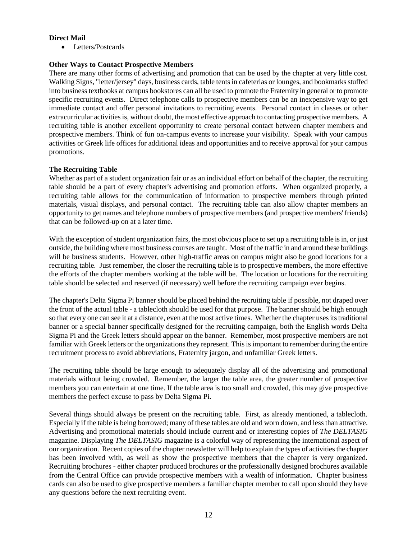#### **Direct Mail**

• Letters/Postcards

#### **Other Ways to Contact Prospective Members**

There are many other forms of advertising and promotion that can be used by the chapter at very little cost. Walking Signs, "letter/jersey" days, business cards, table tents in cafeterias or lounges, and bookmarks stuffed into business textbooks at campus bookstores can all be used to promote the Fraternity in general or to promote specific recruiting events. Direct telephone calls to prospective members can be an inexpensive way to get immediate contact and offer personal invitations to recruiting events. Personal contact in classes or other extracurricular activities is, without doubt, the most effective approach to contacting prospective members. A recruiting table is another excellent opportunity to create personal contact between chapter members and prospective members. Think of fun on-campus events to increase your visibility. Speak with your campus activities or Greek life offices for additional ideas and opportunities and to receive approval for your campus promotions.

#### **The Recruiting Table**

Whether as part of a student organization fair or as an individual effort on behalf of the chapter, the recruiting table should be a part of every chapter's advertising and promotion efforts. When organized properly, a recruiting table allows for the communication of information to prospective members through printed materials, visual displays, and personal contact. The recruiting table can also allow chapter members an opportunity to get names and telephone numbers of prospective members (and prospective members' friends) that can be followed-up on at a later time.

With the exception of student organization fairs, the most obvious place to set up a recruiting table is in, or just outside, the building where most business courses are taught. Most of the traffic in and around these buildings will be business students. However, other high-traffic areas on campus might also be good locations for a recruiting table. Just remember, the closer the recruiting table is to prospective members, the more effective the efforts of the chapter members working at the table will be. The location or locations for the recruiting table should be selected and reserved (if necessary) well before the recruiting campaign ever begins.

The chapter's Delta Sigma Pi banner should be placed behind the recruiting table if possible, not draped over the front of the actual table - a tablecloth should be used for that purpose. The banner should be high enough so that every one can see it at a distance, even at the most active times. Whether the chapter uses its traditional banner or a special banner specifically designed for the recruiting campaign, both the English words Delta Sigma Pi and the Greek letters should appear on the banner. Remember, most prospective members are not familiar with Greek letters or the organizations they represent. This is important to remember during the entire recruitment process to avoid abbreviations, Fraternity jargon, and unfamiliar Greek letters.

The recruiting table should be large enough to adequately display all of the advertising and promotional materials without being crowded. Remember, the larger the table area, the greater number of prospective members you can entertain at one time. If the table area is too small and crowded, this may give prospective members the perfect excuse to pass by Delta Sigma Pi.

Several things should always be present on the recruiting table. First, as already mentioned, a tablecloth. Especially if the table is being borrowed; many of these tables are old and worn down, and less than attractive. Advertising and promotional materials should include current and or interesting copies of *The DELTASIG* magazine. Displaying *The DELTASIG* magazine is a colorful way of representing the international aspect of our organization. Recent copies of the chapter newsletter will help to explain the types of activities the chapter has been involved with, as well as show the prospective members that the chapter is very organized. Recruiting brochures - either chapter produced brochures or the professionally designed brochures available from the Central Office can provide prospective members with a wealth of information. Chapter business cards can also be used to give prospective members a familiar chapter member to call upon should they have any questions before the next recruiting event.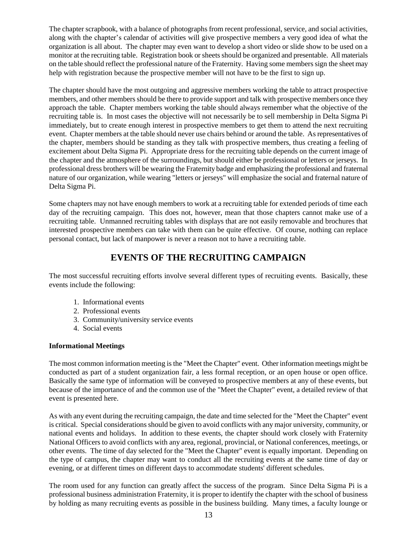The chapter scrapbook, with a balance of photographs from recent professional, service, and social activities, along with the chapter's calendar of activities will give prospective members a very good idea of what the organization is all about. The chapter may even want to develop a short video or slide show to be used on a monitor at the recruiting table. Registration book or sheets should be organized and presentable. All materials on the table should reflect the professional nature of the Fraternity. Having some members sign the sheet may help with registration because the prospective member will not have to be the first to sign up.

The chapter should have the most outgoing and aggressive members working the table to attract prospective members, and other members should be there to provide support and talk with prospective members once they approach the table. Chapter members working the table should always remember what the objective of the recruiting table is. In most cases the objective will not necessarily be to sell membership in Delta Sigma Pi immediately, but to create enough interest in prospective members to get them to attend the next recruiting event. Chapter members at the table should never use chairs behind or around the table. As representatives of the chapter, members should be standing as they talk with prospective members, thus creating a feeling of excitement about Delta Sigma Pi. Appropriate dress for the recruiting table depends on the current image of the chapter and the atmosphere of the surroundings, but should either be professional or letters or jerseys. In professional dress brothers will be wearing the Fraternity badge and emphasizing the professional and fraternal nature of our organization, while wearing "letters or jerseys" will emphasize the social and fraternal nature of Delta Sigma Pi.

Some chapters may not have enough members to work at a recruiting table for extended periods of time each day of the recruiting campaign. This does not, however, mean that those chapters cannot make use of a recruiting table. Unmanned recruiting tables with displays that are not easily removable and brochures that interested prospective members can take with them can be quite effective. Of course, nothing can replace personal contact, but lack of manpower is never a reason not to have a recruiting table.

## **EVENTS OF THE RECRUITING CAMPAIGN**

The most successful recruiting efforts involve several different types of recruiting events. Basically, these events include the following:

- 1. Informational events
- 2. Professional events
- 3. Community/university service events
- 4. Social events

#### **Informational Meetings**

The most common information meeting is the "Meet the Chapter" event. Other information meetings might be conducted as part of a student organization fair, a less formal reception, or an open house or open office. Basically the same type of information will be conveyed to prospective members at any of these events, but because of the importance of and the common use of the "Meet the Chapter" event, a detailed review of that event is presented here.

As with any event during the recruiting campaign, the date and time selected for the "Meet the Chapter" event is critical. Special considerations should be given to avoid conflicts with any major university, community, or national events and holidays. In addition to these events, the chapter should work closely with Fraternity National Officers to avoid conflicts with any area, regional, provincial, or National conferences, meetings, or other events. The time of day selected for the "Meet the Chapter" event is equally important. Depending on the type of campus, the chapter may want to conduct all the recruiting events at the same time of day or evening, or at different times on different days to accommodate students' different schedules.

The room used for any function can greatly affect the success of the program. Since Delta Sigma Pi is a professional business administration Fraternity, it is proper to identify the chapter with the school of business by holding as many recruiting events as possible in the business building. Many times, a faculty lounge or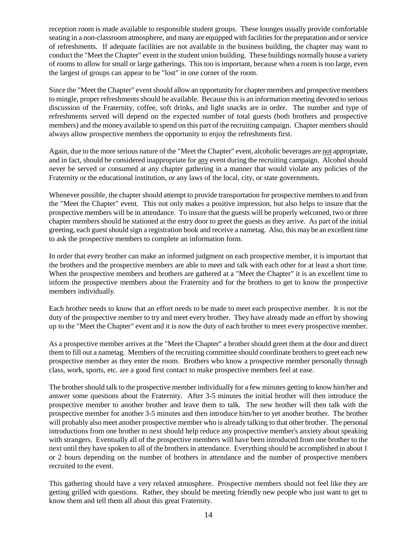reception room is made available to responsible student groups. These lounges usually provide comfortable seating in a non-classroom atmosphere, and many are equipped with facilities for the preparation and or service of refreshments. If adequate facilities are not available in the business building, the chapter may want to conduct the "Meet the Chapter" event in the student union building. These buildings normally house a variety of rooms to allow for small or large gatherings. This too is important, because when a room is too large, even the largest of groups can appear to be "lost" in one corner of the room.

Since the "Meet the Chapter" event should allow an opportunity for chapter members and prospective members to mingle, proper refreshments should be available. Because this is an information meeting devoted to serious discussion of the Fraternity, coffee, soft drinks, and light snacks are in order. The number and type of refreshments served will depend on the expected number of total guests (both brothers and prospective members) and the money available to spend on this part of the recruiting campaign. Chapter members should always allow prospective members the opportunity to enjoy the refreshments first.

Again, due to the more serious nature of the "Meet the Chapter" event, alcoholic beverages are not appropriate, and in fact, should be considered inappropriate for any event during the recruiting campaign. Alcohol should never be served or consumed at any chapter gathering in a manner that would violate any policies of the Fraternity or the educational institution, or any laws of the local, city, or state governments.

Whenever possible, the chapter should attempt to provide transportation for prospective members to and from the "Meet the Chapter" event. This not only makes a positive impression, but also helps to insure that the prospective members will be in attendance. To insure that the guests will be properly welcomed, two or three chapter members should be stationed at the entry door to greet the guests as they arrive. As part of the initial greeting, each guest should sign a registration book and receive a nametag. Also, this may be an excellent time to ask the prospective members to complete an information form.

In order that every brother can make an informed judgment on each prospective member, it is important that the brothers and the prospective members are able to meet and talk with each other for at least a short time. When the prospective members and brothers are gathered at a "Meet the Chapter" it is an excellent time to inform the prospective members about the Fraternity and for the brothers to get to know the prospective members individually.

Each brother needs to know that an effort needs to be made to meet each prospective member. It is not the duty of the prospective member to try and meet every brother. They have already made an effort by showing up to the "Meet the Chapter" event and it is now the duty of each brother to meet every prospective member.

As a prospective member arrives at the "Meet the Chapter" a brother should greet them at the door and direct them to fill out a nametag. Members of the recruiting committee should coordinate brothers to greet each new prospective member as they enter the room. Brothers who know a prospective member personally through class, work, sports, etc. are a good first contact to make prospective members feel at ease.

The brother should talk to the prospective member individually for a few minutes getting to know him/her and answer some questions about the Fraternity. After 3-5 minutes the initial brother will then introduce the prospective member to another brother and leave them to talk. The new brother will then talk with the prospective member for another 3-5 minutes and then introduce him/her to yet another brother. The brother will probably also meet another prospective member who is already talking to that other brother. The personal introductions from one brother to next should help reduce any prospective member's anxiety about speaking with strangers. Eventually all of the prospective members will have been introduced from one brother to the next until they have spoken to all of the brothers in attendance. Everything should be accomplished in about 1 or 2 hours depending on the number of brothers in attendance and the number of prospective members recruited to the event.

This gathering should have a very relaxed atmosphere. Prospective members should not feel like they are getting grilled with questions. Rather, they should be meeting friendly new people who just want to get to know them and tell them all about this great Fraternity.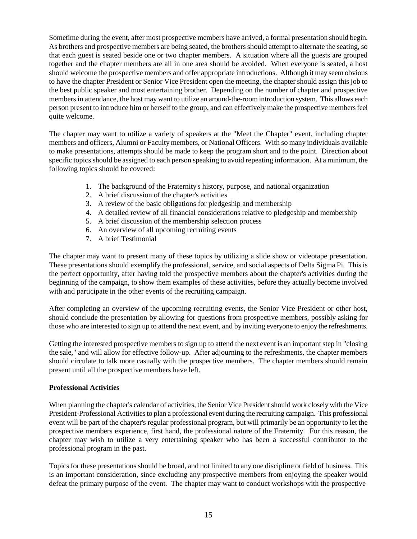Sometime during the event, after most prospective members have arrived, a formal presentation should begin. As brothers and prospective members are being seated, the brothers should attempt to alternate the seating, so that each guest is seated beside one or two chapter members. A situation where all the guests are grouped together and the chapter members are all in one area should be avoided. When everyone is seated, a host should welcome the prospective members and offer appropriate introductions. Although it may seem obvious to have the chapter President or Senior Vice President open the meeting, the chapter should assign this job to the best public speaker and most entertaining brother. Depending on the number of chapter and prospective members in attendance, the host may want to utilize an around-the-room introduction system. This allows each person present to introduce him or herself to the group, and can effectively make the prospective members feel quite welcome.

The chapter may want to utilize a variety of speakers at the "Meet the Chapter" event, including chapter members and officers, Alumni or Faculty members, or National Officers. With so many individuals available to make presentations, attempts should be made to keep the program short and to the point. Direction about specific topics should be assigned to each person speaking to avoid repeating information. At a minimum, the following topics should be covered:

- 1. The background of the Fraternity's history, purpose, and national organization
- 2. A brief discussion of the chapter's activities
- 3. A review of the basic obligations for pledgeship and membership
- 4. A detailed review of all financial considerations relative to pledgeship and membership
- 5. A brief discussion of the membership selection process
- 6. An overview of all upcoming recruiting events
- 7. A brief Testimonial

The chapter may want to present many of these topics by utilizing a slide show or videotape presentation. These presentations should exemplify the professional, service, and social aspects of Delta Sigma Pi. This is the perfect opportunity, after having told the prospective members about the chapter's activities during the beginning of the campaign, to show them examples of these activities, before they actually become involved with and participate in the other events of the recruiting campaign.

After completing an overview of the upcoming recruiting events, the Senior Vice President or other host, should conclude the presentation by allowing for questions from prospective members, possibly asking for those who are interested to sign up to attend the next event, and by inviting everyone to enjoy the refreshments.

Getting the interested prospective members to sign up to attend the next event is an important step in "closing the sale," and will allow for effective follow-up. After adjourning to the refreshments, the chapter members should circulate to talk more casually with the prospective members. The chapter members should remain present until all the prospective members have left.

#### **Professional Activities**

When planning the chapter's calendar of activities, the Senior Vice President should work closely with the Vice President-Professional Activities to plan a professional event during the recruiting campaign. This professional event will be part of the chapter's regular professional program, but will primarily be an opportunity to let the prospective members experience, first hand, the professional nature of the Fraternity. For this reason, the chapter may wish to utilize a very entertaining speaker who has been a successful contributor to the professional program in the past.

Topics for these presentations should be broad, and not limited to any one discipline or field of business. This is an important consideration, since excluding any prospective members from enjoying the speaker would defeat the primary purpose of the event. The chapter may want to conduct workshops with the prospective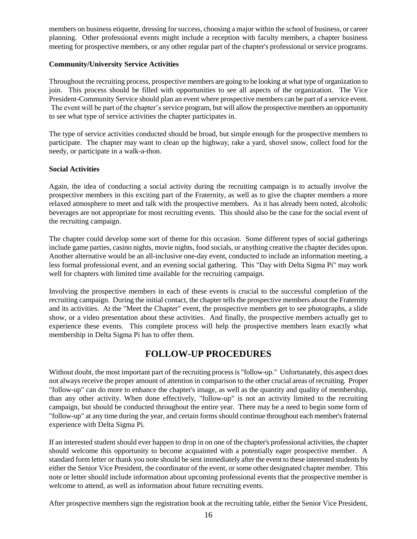members on business etiquette, dressing for success, choosing a major within the school of business, or career planning. Other professional events might include a reception with faculty members, a chapter business meeting for prospective members, or any other regular part of the chapter's professional or service programs.

#### **Community/University Service Activities**

Throughout the recruiting process, prospective members are going to be looking at what type of organization to join. This process should be filled with opportunities to see all aspects of the organization. The Vice President-Community Service should plan an event where prospective members can be part of a service event. The event will be part of the chapter's service program, but will allow the prospective members an opportunity to see what type of service activities the chapter participates in.

The type of service activities conducted should be broad, but simple enough for the prospective members to participate. The chapter may want to clean up the highway, rake a yard, shovel snow, collect food for the needy, or participate in a walk-a-thon.

#### **Social Activities**

Again, the idea of conducting a social activity during the recruiting campaign is to actually involve the prospective members in this exciting part of the Fraternity, as well as to give the chapter members a more relaxed atmosphere to meet and talk with the prospective members. As it has already been noted, alcoholic beverages are not appropriate for most recruiting events. This should also be the case for the social event of the recruiting campaign.

The chapter could develop some sort of theme for this occasion. Some different types of social gatherings include game parties, casino nights, movie nights, food socials, or anything creative the chapter decides upon. Another alternative would be an all-inclusive one-day event, conducted to include an information meeting, a less formal professional event, and an evening social gathering. This "Day with Delta Sigma Pi" may work well for chapters with limited time available for the recruiting campaign.

Involving the prospective members in each of these events is crucial to the successful completion of the recruiting campaign. During the initial contact, the chapter tells the prospective members about the Fraternity and its activities. At the "Meet the Chapter" event, the prospective members get to see photographs, a slide show, or a video presentation about these activities. And finally, the prospective members actually get to experience these events. This complete process will help the prospective members learn exactly what membership in Delta Sigma Pi has to offer them.

## **FOLLOW-UP PROCEDURES**

Without doubt, the most important part of the recruiting process is "follow-up." Unfortunately, this aspect does not always receive the proper amount of attention in comparison to the other crucial areas of recruiting. Proper "follow-up" can do more to enhance the chapter's image, as well as the quantity and quality of membership, than any other activity. When done effectively, "follow-up" is not an activity limited to the recruiting campaign, but should be conducted throughout the entire year. There may be a need to begin some form of "follow-up" at any time during the year, and certain forms should continue throughout each member's fraternal experience with Delta Sigma Pi.

If an interested student should ever happen to drop in on one of the chapter's professional activities, the chapter should welcome this opportunity to become acquainted with a potentially eager prospective member. A standard form letter or thank you note should be sent immediately after the event to these interested students by either the Senior Vice President, the coordinator of the event, or some other designated chapter member. This note or letter should include information about upcoming professional events that the prospective member is welcome to attend, as well as information about future recruiting events.

After prospective members sign the registration book at the recruiting table, either the Senior Vice President,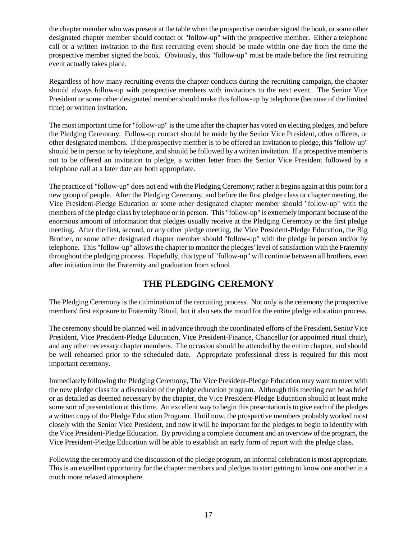the chapter member who was present at the table when the prospective member signed the book, or some other designated chapter member should contact or "follow-up" with the prospective member. Either a telephone call or a written invitation to the first recruiting event should be made within one day from the time the prospective member signed the book. Obviously, this "follow-up" must be made before the first recruiting event actually takes place.

Regardless of how many recruiting events the chapter conducts during the recruiting campaign, the chapter should always follow-up with prospective members with invitations to the next event. The Senior Vice President or some other designated member should make this follow-up by telephone (because of the limited time) or written invitation.

The most important time for "follow-up" is the time after the chapter has voted on electing pledges, and before the Pledging Ceremony. Follow-up contact should be made by the Senior Vice President, other officers, or other designated members. If the prospective member is to be offered an invitation to pledge, this "follow-up" should be in person or by telephone, and should be followed by a written invitation. If a prospective member is not to be offered an invitation to pledge, a written letter from the Senior Vice President followed by a telephone call at a later date are both appropriate.

The practice of "follow-up" does not end with the Pledging Ceremony; rather it begins again at this point for a new group of people. After the Pledging Ceremony, and before the first pledge class or chapter meeting, the Vice President-Pledge Education or some other designated chapter member should "follow-up" with the members of the pledge class by telephone or in person. This "follow-up" is extremely important because of the enormous amount of information that pledges usually receive at the Pledging Ceremony or the first pledge meeting. After the first, second, or any other pledge meeting, the Vice President-Pledge Education, the Big Brother, or some other designated chapter member should "follow-up" with the pledge in person and/or by telephone. This "follow-up" allows the chapter to monitor the pledges' level of satisfaction with the Fraternity throughout the pledging process. Hopefully, this type of "follow-up" will continue between all brothers, even after initiation into the Fraternity and graduation from school.

## **THE PLEDGING CEREMONY**

The Pledging Ceremony is the culmination of the recruiting process. Not only is the ceremony the prospective members' first exposure to Fraternity Ritual, but it also sets the mood for the entire pledge education process.

The ceremony should be planned well in advance through the coordinated efforts of the President, Senior Vice President, Vice President-Pledge Education, Vice President-Finance, Chancellor (or appointed ritual chair), and any other necessary chapter members. The occasion should be attended by the entire chapter, and should be well rehearsed prior to the scheduled date. Appropriate professional dress is required for this most important ceremony.

Immediately following the Pledging Ceremony, The Vice President-Pledge Education may want to meet with the new pledge class for a discussion of the pledge education program. Although this meeting can be as brief or as detailed as deemed necessary by the chapter, the Vice President-Pledge Education should at least make some sort of presentation at this time. An excellent way to begin this presentation is to give each of the pledges a written copy of the Pledge Education Program. Until now, the prospective members probably worked most closely with the Senior Vice President, and now it will be important for the pledges to begin to identify with the Vice President-Pledge Education. By providing a complete document and an overview of the program, the Vice President-Pledge Education will be able to establish an early form of report with the pledge class.

Following the ceremony and the discussion of the pledge program, an informal celebration is most appropriate. This is an excellent opportunity for the chapter members and pledges to start getting to know one another in a much more relaxed atmosphere.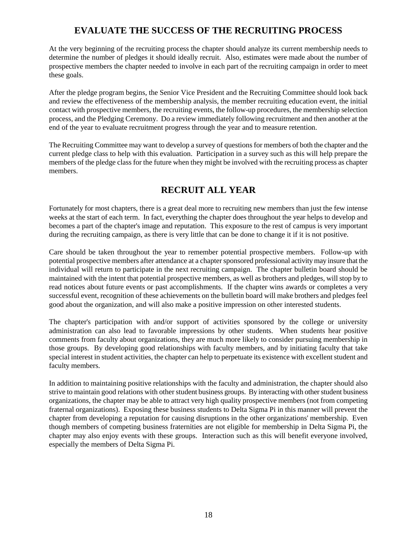## **EVALUATE THE SUCCESS OF THE RECRUITING PROCESS**

At the very beginning of the recruiting process the chapter should analyze its current membership needs to determine the number of pledges it should ideally recruit. Also, estimates were made about the number of prospective members the chapter needed to involve in each part of the recruiting campaign in order to meet these goals.

After the pledge program begins, the Senior Vice President and the Recruiting Committee should look back and review the effectiveness of the membership analysis, the member recruiting education event, the initial contact with prospective members, the recruiting events, the follow-up procedures, the membership selection process, and the Pledging Ceremony. Do a review immediately following recruitment and then another at the end of the year to evaluate recruitment progress through the year and to measure retention.

The Recruiting Committee may want to develop a survey of questions for members of both the chapter and the current pledge class to help with this evaluation. Participation in a survey such as this will help prepare the members of the pledge class for the future when they might be involved with the recruiting process as chapter members.

## **RECRUIT ALL YEAR**

Fortunately for most chapters, there is a great deal more to recruiting new members than just the few intense weeks at the start of each term. In fact, everything the chapter does throughout the year helps to develop and becomes a part of the chapter's image and reputation. This exposure to the rest of campus is very important during the recruiting campaign, as there is very little that can be done to change it if it is not positive.

Care should be taken throughout the year to remember potential prospective members. Follow-up with potential prospective members after attendance at a chapter sponsored professional activity may insure that the individual will return to participate in the next recruiting campaign. The chapter bulletin board should be maintained with the intent that potential prospective members, as well as brothers and pledges, will stop by to read notices about future events or past accomplishments. If the chapter wins awards or completes a very successful event, recognition of these achievements on the bulletin board will make brothers and pledges feel good about the organization, and will also make a positive impression on other interested students.

The chapter's participation with and/or support of activities sponsored by the college or university administration can also lead to favorable impressions by other students. When students hear positive comments from faculty about organizations, they are much more likely to consider pursuing membership in those groups. By developing good relationships with faculty members, and by initiating faculty that take special interest in student activities, the chapter can help to perpetuate its existence with excellent student and faculty members.

In addition to maintaining positive relationships with the faculty and administration, the chapter should also strive to maintain good relations with other student business groups. By interacting with other student business organizations, the chapter may be able to attract very high quality prospective members (not from competing fraternal organizations). Exposing these business students to Delta Sigma Pi in this manner will prevent the chapter from developing a reputation for causing disruptions in the other organizations' membership. Even though members of competing business fraternities are not eligible for membership in Delta Sigma Pi, the chapter may also enjoy events with these groups. Interaction such as this will benefit everyone involved, especially the members of Delta Sigma Pi.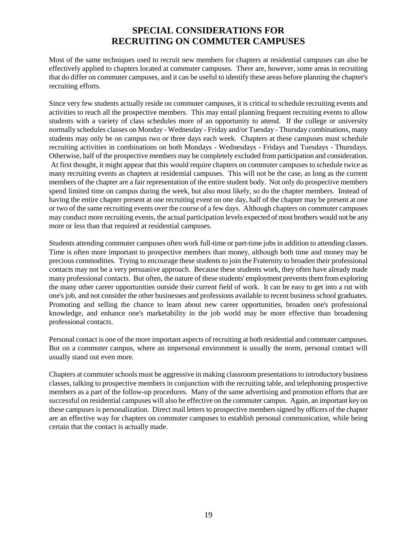## **SPECIAL CONSIDERATIONS FOR RECRUITING ON COMMUTER CAMPUSES**

Most of the same techniques used to recruit new members for chapters at residential campuses can also be effectively applied to chapters located at commuter campuses. There are, however, some areas in recruiting that do differ on commuter campuses, and it can be useful to identify these areas before planning the chapter's recruiting efforts.

Since very few students actually reside on commuter campuses, it is critical to schedule recruiting events and activities to reach all the prospective members. This may entail planning frequent recruiting events to allow students with a variety of class schedules more of an opportunity to attend. If the college or university normally schedules classes on Monday - Wednesday - Friday and/or Tuesday - Thursday combinations, many students may only be on campus two or three days each week. Chapters at these campuses must schedule recruiting activities in combinations on both Mondays - Wednesdays - Fridays and Tuesdays - Thursdays. Otherwise, half of the prospective members may be completely excluded from participation and consideration. At first thought, it might appear that this would require chapters on commuter campuses to schedule twice as many recruiting events as chapters at residential campuses. This will not be the case, as long as the current members of the chapter are a fair representation of the entire student body. Not only do prospective members spend limited time on campus during the week, but also most likely, so do the chapter members. Instead of having the entire chapter present at one recruiting event on one day, half of the chapter may be present at one or two of the same recruiting events over the course of a few days. Although chapters on commuter campuses may conduct more recruiting events, the actual participation levels expected of most brothers would not be any more or less than that required at residential campuses.

Students attending commuter campuses often work full-time or part-time jobs in addition to attending classes. Time is often more important to prospective members than money, although both time and money may be precious commodities. Trying to encourage these students to join the Fraternity to broaden their professional contacts may not be a very persuasive approach. Because these students work, they often have already made many professional contacts. But often, the nature of these students' employment prevents them from exploring the many other career opportunities outside their current field of work. It can be easy to get into a rut with one's job, and not consider the other businesses and professions available to recent business school graduates. Promoting and selling the chance to learn about new career opportunities, broaden one's professional knowledge, and enhance one's marketability in the job world may be more effective than broadening professional contacts.

Personal contact is one of the more important aspects of recruiting at both residential and commuter campuses. But on a commuter campus, where an impersonal environment is usually the norm, personal contact will usually stand out even more.

Chapters at commuter schools must be aggressive in making classroom presentations to introductory business classes, talking to prospective members in conjunction with the recruiting table, and telephoning prospective members as a part of the follow-up procedures. Many of the same advertising and promotion efforts that are successful on residential campuses will also be effective on the commuter campus. Again, an important key on these campuses is personalization. Direct mail letters to prospective members signed by officers of the chapter are an effective way for chapters on commuter campuses to establish personal communication, while being certain that the contact is actually made.